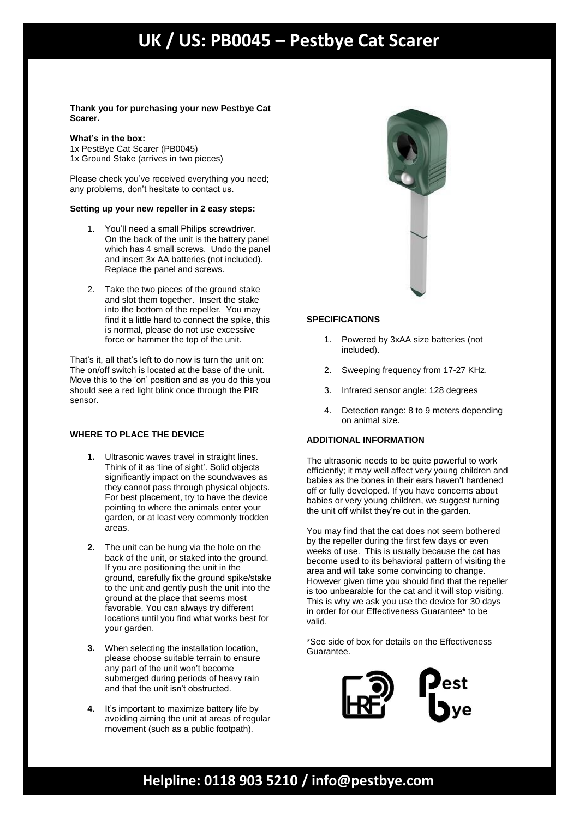# **UK / US: PB0045 – Pestbye Cat Scarer**

**Thank you for purchasing your new Pestbye Cat Scarer.**

#### **What's in the box:**

1x PestBye Cat Scarer (PB0045) 1x Ground Stake (arrives in two pieces)

Please check you've received everything you need; any problems, don't hesitate to contact us.

### **Setting up your new repeller in 2 easy steps:**

- 1. You'll need a small Philips screwdriver. On the back of the unit is the battery panel which has 4 small screws. Undo the panel and insert 3x AA batteries (not included). Replace the panel and screws.
- 2. Take the two pieces of the ground stake and slot them together. Insert the stake into the bottom of the repeller. You may find it a little hard to connect the spike, this is normal, please do not use excessive force or hammer the top of the unit.

That's it, all that's left to do now is turn the unit on: The on/off switch is located at the base of the unit. Move this to the 'on' position and as you do this you should see a red light blink once through the PIR sensor.

### **WHERE TO PLACE THE DEVICE**

- **1.** Ultrasonic waves travel in straight lines. Think of it as 'line of sight'. Solid objects significantly impact on the soundwaves as they cannot pass through physical objects. For best placement, try to have the device pointing to where the animals enter your garden, or at least very commonly trodden areas.
- **2.** The unit can be hung via the hole on the back of the unit, or staked into the ground. If you are positioning the unit in the ground, carefully fix the ground spike/stake to the unit and gently push the unit into the ground at the place that seems most favorable. You can always try different locations until you find what works best for your garden.
- **3.** When selecting the installation location, please choose suitable terrain to ensure any part of the unit won't become submerged during periods of heavy rain and that the unit isn't obstructed.
- **4.** It's important to maximize battery life by avoiding aiming the unit at areas of regular movement (such as a public footpath).



### **SPECIFICATIONS**

- 1. Powered by 3xAA size batteries (not included).
- 2. Sweeping frequency from 17-27 KHz.
- 3. Infrared sensor angle: 128 degrees
- 4. Detection range: 8 to 9 meters depending on animal size.

## **ADDITIONAL INFORMATION**

The ultrasonic needs to be quite powerful to work efficiently; it may well affect very young children and babies as the bones in their ears haven't hardened off or fully developed. If you have concerns about babies or very young children, we suggest turning the unit off whilst they're out in the garden.

You may find that the cat does not seem bothered by the repeller during the first few days or even weeks of use. This is usually because the cat has become used to its behavioral pattern of visiting the area and will take some convincing to change. However given time you should find that the repeller is too unbearable for the cat and it will stop visiting. This is why we ask you use the device for 30 days in order for our Effectiveness Guarantee\* to be valid.

\*See side of box for details on the Effectiveness Guarantee.



## **Helpline: 0118 903 5210 / [info@pestbye.com](mailto:info@pestbye.com)**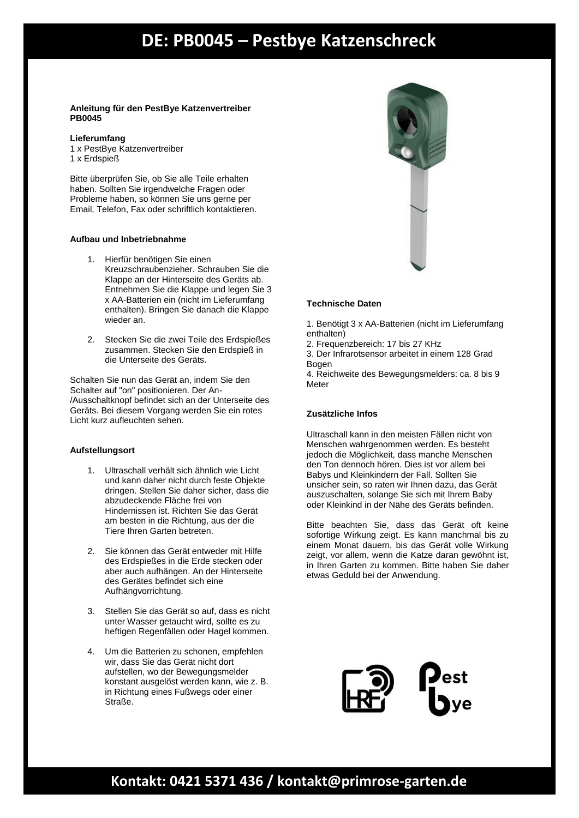## **DE: PB0045 – Pestbye Katzenschreck**

### **Anleitung für den PestBye Katzenvertreiber PB0045**

### **Lieferumfang**

1 x PestBye Katzenvertreiber 1 x Erdspieß

Bitte überprüfen Sie, ob Sie alle Teile erhalten haben. Sollten Sie irgendwelche Fragen oder Probleme haben, so können Sie uns gerne per Email, Telefon, Fax oder schriftlich kontaktieren.

### **Aufbau und Inbetriebnahme**

- 1. Hierfür benötigen Sie einen Kreuzschraubenzieher. Schrauben Sie die Klappe an der Hinterseite des Geräts ab. Entnehmen Sie die Klappe und legen Sie 3 x AA-Batterien ein (nicht im Lieferumfang enthalten). Bringen Sie danach die Klappe wieder an.
- 2. Stecken Sie die zwei Teile des Erdspießes zusammen. Stecken Sie den Erdspieß in die Unterseite des Geräts.

Schalten Sie nun das Gerät an, indem Sie den Schalter auf "on" positionieren. Der An- /Ausschaltknopf befindet sich an der Unterseite des Geräts. Bei diesem Vorgang werden Sie ein rotes Licht kurz aufleuchten sehen.

## **Aufstellungsort**

- 1. Ultraschall verhält sich ähnlich wie Licht und kann daher nicht durch feste Objekte dringen. Stellen Sie daher sicher, dass die abzudeckende Fläche frei von Hindernissen ist. Richten Sie das Gerät am besten in die Richtung, aus der die Tiere Ihren Garten betreten.
- 2. Sie können das Gerät entweder mit Hilfe des Erdspießes in die Erde stecken oder aber auch aufhängen. An der Hinterseite des Gerätes befindet sich eine Aufhängvorrichtung.
- 3. Stellen Sie das Gerät so auf, dass es nicht unter Wasser getaucht wird, sollte es zu heftigen Regenfällen oder Hagel kommen.
- 4. Um die Batterien zu schonen, empfehlen wir, dass Sie das Gerät nicht dort aufstellen, wo der Bewegungsmelder konstant ausgelöst werden kann, wie z. B. in Richtung eines Fußwegs oder einer Straße.



## **Technische Daten**

1. Benötigt 3 x AA-Batterien (nicht im Lieferumfang enthalten)

2. Frequenzbereich: 17 bis 27 KHz

3. Der Infrarotsensor arbeitet in einem 128 Grad **Bogen** 

4. Reichweite des Bewegungsmelders: ca. 8 bis 9 **Meter** 

## **Zusätzliche Infos**

Ultraschall kann in den meisten Fällen nicht von Menschen wahrgenommen werden. Es besteht jedoch die Möglichkeit, dass manche Menschen den Ton dennoch hören. Dies ist vor allem bei Babys und Kleinkindern der Fall. Sollten Sie unsicher sein, so raten wir Ihnen dazu, das Gerät auszuschalten, solange Sie sich mit Ihrem Baby oder Kleinkind in der Nähe des Geräts befinden.

Bitte beachten Sie, dass das Gerät oft keine sofortige Wirkung zeigt. Es kann manchmal bis zu einem Monat dauern, bis das Gerät volle Wirkung zeigt, vor allem, wenn die Katze daran gewöhnt ist, in Ihren Garten zu kommen. Bitte haben Sie daher etwas Geduld bei der Anwendung.



## **Kontakt: 0421 5371 436 / [kontakt@primrose-garten.de](mailto:kontakt@primrose-garten.de)**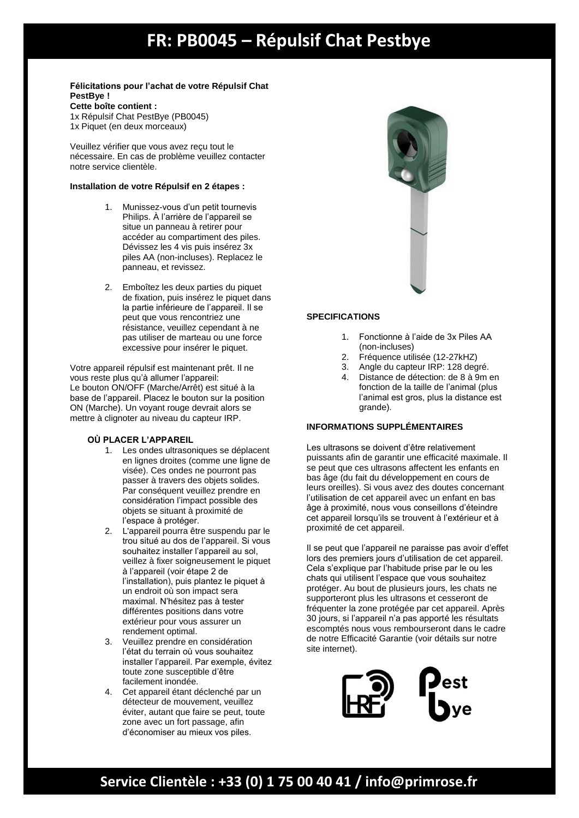# **Instruction FR: PB0045 - Répulsif Chat Pestbye**

#### **Félicitations pour l'achat de votre Répulsif Chat PestBye ! Cette boîte contient :** 1x Répulsif Chat PestBye (PB0045) 1x Piquet (en deux morceaux)

Veuillez vérifier que vous avez reçu tout le nécessaire. En cas de problème veuillez contacter notre service clientèle.

### **Installation de votre Répulsif en 2 étapes :**

- 1. Munissez-vous d'un petit tournevis Philips. À l'arrière de l'appareil se situe un panneau à retirer pour accéder au compartiment des piles. Dévissez les 4 vis puis insérez 3x piles AA (non-incluses). Replacez le panneau, et revissez.
- 2. Emboîtez les deux parties du piquet de fixation, puis insérez le piquet dans la partie inférieure de l'appareil. Il se peut que vous rencontriez une résistance, veuillez cependant à ne pas utiliser de marteau ou une force excessive pour insérer le piquet.

Votre appareil répulsif est maintenant prêt. Il ne vous reste plus qu'à allumer l'appareil: Le bouton ON/OFF (Marche/Arrêt) est situé à la base de l'appareil. Placez le bouton sur la position ON (Marche). Un voyant rouge devrait alors se mettre à clignoter au niveau du capteur IRP.

## **OÙ PLACER L'APPAREIL**

- 1. Les ondes ultrasoniques se déplacent en lignes droites (comme une ligne de visée). Ces ondes ne pourront pas passer à travers des objets solides. Par conséquent veuillez prendre en considération l'impact possible des objets se situant à proximité de l'espace à protéger.
- 2. L'appareil pourra être suspendu par le trou situé au dos de l'appareil. Si vous souhaitez installer l'appareil au sol, veillez à fixer soigneusement le piquet à l'appareil (voir étape 2 de l'installation), puis plantez le piquet à un endroit où son impact sera maximal. N'hésitez pas à tester différentes positions dans votre extérieur pour vous assurer un rendement optimal.
- 3. Veuillez prendre en considération l'état du terrain où vous souhaitez installer l'appareil. Par exemple, évitez toute zone susceptible d'être facilement inondée.
- 4. Cet appareil étant déclenché par un détecteur de mouvement, veuillez éviter, autant que faire se peut, toute zone avec un fort passage, afin d'économiser au mieux vos piles.



## **SPECIFICATIONS**

- 1. Fonctionne à l'aide de 3x Piles AA (non-incluses)
- 2. Fréquence utilisée (12-27kHZ)
- 3. Angle du capteur IRP: 128 degré.
- 4. Distance de détection: de 8 à 9m en fonction de la taille de l'animal (plus l'animal est gros, plus la distance est grande).

## **INFORMATIONS SUPPLÉMENTAIRES**

Les ultrasons se doivent d'être relativement puissants afin de garantir une efficacité maximale. Il se peut que ces ultrasons affectent les enfants en bas âge (du fait du développement en cours de leurs oreilles). Si vous avez des doutes concernant l'utilisation de cet appareil avec un enfant en bas âge à proximité, nous vous conseillons d'éteindre cet appareil lorsqu'ils se trouvent à l'extérieur et à proximité de cet appareil.

Il se peut que l'appareil ne paraisse pas avoir d'effet lors des premiers jours d'utilisation de cet appareil. Cela s'explique par l'habitude prise par le ou les chats qui utilisent l'espace que vous souhaitez protéger. Au bout de plusieurs jours, les chats ne supporteront plus les ultrasons et cesseront de fréquenter la zone protégée par cet appareil. Après 30 jours, si l'appareil n'a pas apporté les résultats escomptés nous vous rembourseront dans le cadre de notre Efficacité Garantie (voir détails sur notre site internet).



## **Service Clientèle : +33 (0) 1 75 00 40 41 / [info@primrose.fr](mailto:info@primrose.fr)**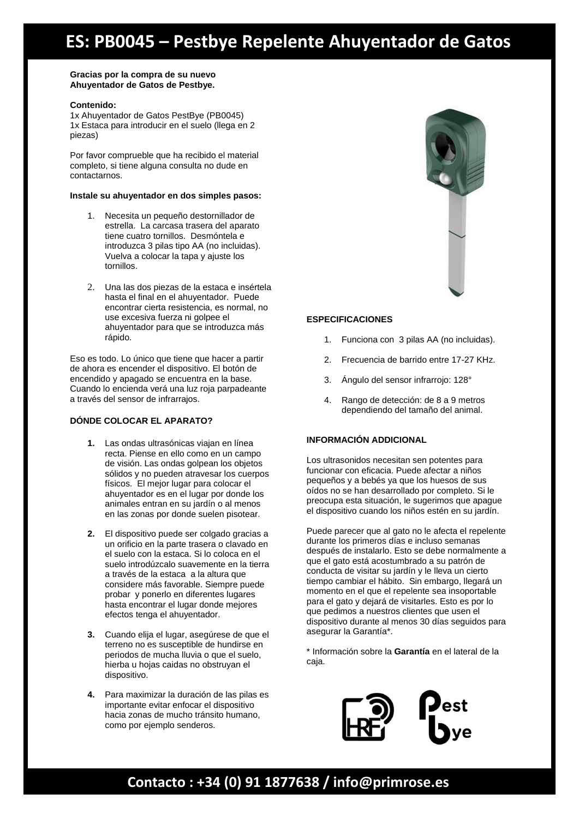# **ES: PB0045 – Pestbye Repelente Ahuyentador de Gatos**

#### **Gracias por la compra de su nuevo Ahuyentador de Gatos de Pestbye.**

#### **Contenido:**

1x Ahuyentador de Gatos PestBye (PB0045) 1x Estaca para introducir en el suelo (llega en 2 piezas)

Por favor comprueble que ha recibido el material completo, si tiene alguna consulta no dude en contactarnos.

#### **Instale su ahuyentador en dos simples pasos:**

- 1. Necesita un pequeño destornillador de estrella. La carcasa trasera del aparato tiene cuatro tornillos. Desmóntela e introduzca 3 pilas tipo AA (no incluidas). Vuelva a colocar la tapa y ajuste los tornillos.
- 2. Una las dos piezas de la estaca e insértela hasta el final en el ahuyentador. Puede encontrar cierta resistencia, es normal, no use excesiva fuerza ni golpee el ahuyentador para que se introduzca más rápido.

Eso es todo. Lo único que tiene que hacer a partir de ahora es encender el dispositivo. El botón de encendido y apagado se encuentra en la base. Cuando lo encienda verá una luz roja parpadeante a través del sensor de infrarrajos.

## **DÓNDE COLOCAR EL APARATO?**

- **1.** Las ondas ultrasónicas viajan en línea recta. Piense en ello como en un campo de visión. Las ondas golpean los objetos sólidos y no pueden atravesar los cuerpos físicos. El mejor lugar para colocar el ahuyentador es en el lugar por donde los animales entran en su jardín o al menos en las zonas por donde suelen pisotear.
- **2.** El dispositivo puede ser colgado gracias a un orificio en la parte trasera o clavado en el suelo con la estaca. Si lo coloca en el suelo introdúzcalo suavemente en la tierra a través de la estaca a la altura que considere más favorable. Siempre puede probar y ponerlo en diferentes lugares hasta encontrar el lugar donde mejores efectos tenga el ahuyentador.
- **3.** Cuando elija el lugar, asegúrese de que el terreno no es susceptible de hundirse en periodos de mucha lluvia o que el suelo, hierba u hojas caidas no obstruyan el dispositivo.
- **4.** Para maximizar la duración de las pilas es importante evitar enfocar el dispositivo hacia zonas de mucho tránsito humano, como por ejemplo senderos.



### **ESPECIFICACIONES**

- 1. Funciona con 3 pilas AA (no incluidas).
- 2. Frecuencia de barrido entre 17-27 KHz.
- 3. Ángulo del sensor infrarrojo: 128°
- 4. Rango de detección: de 8 a 9 metros dependiendo del tamaño del animal.

## **INFORMACIÓN ADDICIONAL**

Los ultrasonidos necesitan sen potentes para funcionar con eficacia. Puede afectar a niños pequeños y a bebés ya que los huesos de sus oídos no se han desarrollado por completo. Si le preocupa esta situación, le sugerimos que apague el dispositivo cuando los niños estén en su jardín.

Puede parecer que al gato no le afecta el repelente durante los primeros días e incluso semanas después de instalarlo. Esto se debe normalmente a que el gato está acostumbrado a su patrón de conducta de visitar su jardín y le lleva un cierto tiempo cambiar el hábito. Sin embargo, llegará un momento en el que el repelente sea insoportable para el gato y dejará de visitarles. Esto es por lo que pedimos a nuestros clientes que usen el dispositivo durante al menos 30 días seguidos para asegurar la Garantía\*.

\* Información sobre la **Garantía** en el lateral de la caja.



## **Contacto : +34 (0) 91 1877638 / [info@primrose.es](mailto:info@primrose.es)**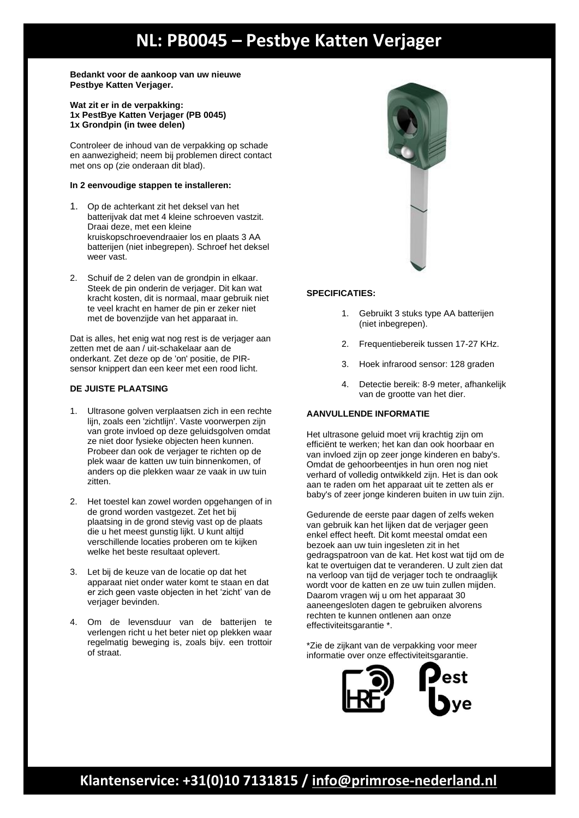# **NL: PB0045 – Pestbye Katten Verjager**

**Bedankt voor de aankoop van uw nieuwe Pestbye Katten Verjager.**

**Wat zit er in de verpakking: 1x PestBye Katten Verjager (PB 0045) 1x Grondpin (in twee delen)**

Controleer de inhoud van de verpakking op schade en aanwezigheid; neem bij problemen direct contact met ons op (zie onderaan dit blad).

### **In 2 eenvoudige stappen te installeren:**

- 1. Op de achterkant zit het deksel van het batterijvak dat met 4 kleine schroeven vastzit. Draai deze, met een kleine kruiskopschroevendraaier los en plaats 3 AA batterijen (niet inbegrepen). Schroef het deksel weer vast.
- 2. Schuif de 2 delen van de grondpin in elkaar. Steek de pin onderin de verjager. Dit kan wat kracht kosten, dit is normaal, maar gebruik niet te veel kracht en hamer de pin er zeker niet met de bovenzijde van het apparaat in.

Dat is alles, het enig wat nog rest is de verjager aan zetten met de aan / uit-schakelaar aan de onderkant. Zet deze op de 'on' positie, de PIRsensor knippert dan een keer met een rood licht.

### **DE JUISTE PLAATSING**

- 1. Ultrasone golven verplaatsen zich in een rechte lijn, zoals een 'zichtlijn'. Vaste voorwerpen zijn van grote invloed op deze geluidsgolven omdat ze niet door fysieke objecten heen kunnen. Probeer dan ook de verjager te richten op de plek waar de katten uw tuin binnenkomen, of anders op die plekken waar ze vaak in uw tuin zitten.
- 2. Het toestel kan zowel worden opgehangen of in de grond worden vastgezet. Zet het bij plaatsing in de grond stevig vast op de plaats die u het meest gunstig lijkt. U kunt altijd verschillende locaties proberen om te kijken welke het beste resultaat oplevert.
- 3. Let bij de keuze van de locatie op dat het apparaat niet onder water komt te staan en dat er zich geen vaste objecten in het 'zicht' van de verjager bevinden.
- 4. Om de levensduur van de batterijen te verlengen richt u het beter niet op plekken waar regelmatig beweging is, zoals bijv. een trottoir of straat.



### **SPECIFICATIES:**

- 1. Gebruikt 3 stuks type AA batterijen (niet inbegrepen).
- 2. Frequentiebereik tussen 17-27 KHz.
- 3. Hoek infrarood sensor: 128 graden
- 4. Detectie bereik: 8-9 meter, afhankelijk van de grootte van het dier.

## **AANVULLENDE INFORMATIE**

Het ultrasone geluid moet vrij krachtig zijn om efficiënt te werken; het kan dan ook hoorbaar en van invloed zijn op zeer jonge kinderen en baby's. Omdat de gehoorbeentjes in hun oren nog niet verhard of volledig ontwikkeld zijn. Het is dan ook aan te raden om het apparaat uit te zetten als er baby's of zeer jonge kinderen buiten in uw tuin zijn.

Gedurende de eerste paar dagen of zelfs weken van gebruik kan het lijken dat de verjager geen enkel effect heeft. Dit komt meestal omdat een bezoek aan uw tuin ingesleten zit in het gedragspatroon van de kat. Het kost wat tijd om de kat te overtuigen dat te veranderen. U zult zien dat na verloop van tijd de verjager toch te ondraaglijk wordt voor de katten en ze uw tuin zullen mijden. Daarom vragen wij u om het apparaat 30 aaneengesloten dagen te gebruiken alvorens rechten te kunnen ontlenen aan onze effectiviteitsgarantie \*.

\*Zie de zijkant van de verpakking voor meer informatie over onze effectiviteitsgarantie.